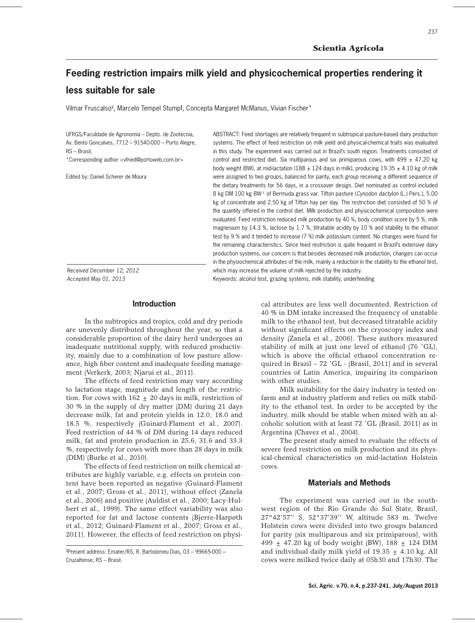# **Feeding restriction impairs milk yield and physicochemical properties rendering it less suitable for sale**

Vilmar Fruscalso§ , Marcelo Tempel Stumpf, Concepta Margaret McManus, Vivian Fischer\*

UFRGS/Faculdade de Agronomia – Depto. de Zootecnia, Av. Bento Gonçalves, 7712 – 91540-000 – Porto Alegre, RS – Brasil.

\*Corresponding author <vfried@portoweb.com.br>

Edited by: Daniel Scherer de Moura

systems. The effect of feed restriction on milk yield and physical-chemical traits was evaluated in this study. The experiment was carried out in Brazil's south region. Treatments consisted of control and restricted diet. Six multiparous and six primiparous cows, with 499  $\pm$  47.20 kg body weight (BW), at mid-lactation (188  $\pm$  124 days in milk), producing 19.35  $\pm$  4.10 kg of milk were assigned to two groups, balanced for parity, each group receiving a different sequence of the dietary treatments for 56 days, in a crossover design. Diet nominated as control included 8 kg DM 100 kg BW–1 of Bermuda grass var. Tifton pasture (*Cynodon dactylon* (L.) Pers.), 5.00 kg of concentrate and 2.50 kg of Tifton hay per day. The restriction diet consisted of 50 % of the quantity offered in the control diet. Milk production and physicochemical composition were evaluated. Feed restriction reduced milk production by 40 %, body condition score by 5 %, milk magnesium by 14.3 %, lactose by 1.7 %, titratable acidity by 10 % and stability to the ethanol test by 9 % and it tended to increase (7 %) milk potassium content. No changes were found for the remaining characteristics. Since feed restriction is quite frequent in Brazil's extensive dairy production systems, our concern is that besides decreased milk production, changes can occur in the physiochemical attributes of the milk, mainly a reduction in the stability to the ethanol test, which may increase the volume of milk rejected by the industry.

ABSTRACT: Feed shortages are relatively frequent in subtropical pasture-based dairy production

*Received December 12, 2012 Accepted May 01, 2013*

Keywords: alcohol test, grazing systems, milk stability, underfeeding

# **Introduction**

In the subtropics and tropics, cold and dry periods are unevenly distributed throughout the year, so that a considerable proportion of the dairy herd undergoes an inadequate nutritional supply, with reduced productivity, mainly due to a combination of low pasture allowance, high fiber content and inadequate feeding management (Verkerk, 2003; Njarui et al., 2011).

The effects of feed restriction may vary according to lactation stage, magnitude and length of the restriction. For cows with  $162 \pm 20$  days in milk, restriction of 30 % in the supply of dry matter (DM) during 21 days decrease milk, fat and protein yields in 12.0, 18.0 and 18.5 %, respectively (Guinard-Flament et al., 2007). Feed restriction of 44 % of DM during 14 days reduced milk, fat and protein production in 25.6, 31.6 and 33.3 %, respectively for cows with more than 28 days in milk (DIM) (Burke et al., 2010).

The effects of feed restriction on milk chemical attributes are highly variable, e.g. effects on protein content have been reported as negative (Guinard-Flament et al., 2007; Gross et al., 2011), without effect (Zanela et al., 2006) and positive (Auldist et al., 2000; Lacy-Hulbert et al., 1999). The same effect variability was also reported for fat and lactose contents (Bjerre-Harpøth et al., 2012; Guinard-Flament et al., 2007; Gross et al., 2011). However, the effects of feed restriction on physi-

§ Present address: Emater/RS, R. Bartolomeu Dias, 03 – 99665-000 – Cruzaltense, RS – Brasil.

cal attributes are less well documented. Restriction of 40 % in DM intake increased the frequency of unstable milk to the ethanol test, but decreased titratable acidity without significant effects on the cryoscopy index and density (Zanela et al., 2006). These authors measured stability of milk at just one level of ethanol (76 ˚GL), which is above the official ethanol concentration required in Brazil – 72 ˚GL - (Brasil, 2011) and in several countries of Latin America, impairing its comparison with other studies.

Milk suitability for the dairy industry is tested onfarm and at industry platform and relies on milk stability to the ethanol test. In order to be accepted by the industry, milk should be stable when mixed with an alcoholic solution with at least 72 ˚GL (Brasil, 2011) as in Argentina (Chavez et al., 2004).

The present study aimed to evaluate the effects of severe feed restriction on milk production and its physical-chemical characteristics on mid-lactation Holstein **COWS** 

## **Materials and Methods**

The experiment was carried out in the southwest region of the Rio Grande do Sul State, Brazil, 27°42'57'' S, 52°37'39'' W, altitude 583 m. Twelve Holstein cows were divided into two groups balanced for parity (six multiparous and six primiparous), with 499  $\pm$  47.20 kg of body weight (BW), 188  $\pm$  124 DIM and individual daily milk yield of  $19.35 + 4.10$  kg. All cows were milked twice daily at 05h30 and 17h30. The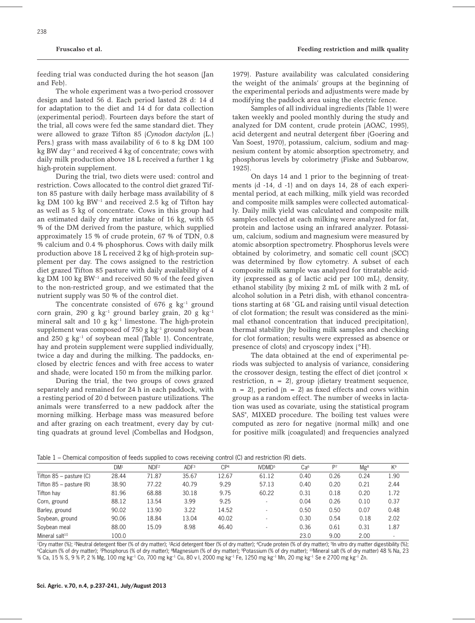feeding trial was conducted during the hot season (Jan and Feb).

The whole experiment was a two-period crossover design and lasted 56 d. Each period lasted 28 d: 14 d for adaptation to the diet and 14 d for data collection (experimental period). Fourteen days before the start of the trial, all cows were fed the same standard diet. They were allowed to graze Tifton 85 (*Cynodon dactylon* (L.) Pers.) grass with mass availability of 6 to 8 kg DM 100 kg BW day–1 and received 4 kg of concentrate; cows with daily milk production above 18 L received a further 1 kg high-protein supplement.

During the trial, two diets were used: control and restriction. Cows allocated to the control diet grazed Tifton 85 pasture with daily herbage mass availability of 8 kg DM 100 kg BW–1 and received 2.5 kg of Tifton hay as well as 5 kg of concentrate. Cows in this group had an estimated daily dry matter intake of 16 kg, with 65 % of the DM derived from the pasture, which supplied approximately 15 % of crude protein, 67 % of TDN, 0.8 % calcium and 0.4 % phosphorus. Cows with daily milk production above 18 L received 2 kg of high-protein supplement per day. The cows assigned to the restriction diet grazed Tifton 85 pasture with daily availability of 4 kg DM 100 kg BW–1 and received 50 % of the feed given to the non-restricted group, and we estimated that the nutrient supply was 50 % of the control diet.

The concentrate consisted of 676 g  $kg^{-1}$  ground corn grain, 290 g kg<sup>-1</sup> ground barley grain, 20 g kg<sup>-1</sup> mineral salt and 10 g  $kg^{-1}$  limestone. The high-protein supplement was composed of  $750$  g kg<sup>-1</sup> ground soybean and  $250$  g  $kg^{-1}$  of soybean meal (Table 1). Concentrate, hay and protein supplement were supplied individually, twice a day and during the milking. The paddocks, enclosed by electric fences and with free access to water and shade, were located 150 m from the milking parlor.

During the trial, the two groups of cows grazed separately and remained for 24 h in each paddock, with a resting period of 20 d between pasture utilizations. The animals were transferred to a new paddock after the morning milking. Herbage mass was measured before and after grazing on each treatment, every day by cutting quadrats at ground level (Combellas and Hodgson,

1979). Pasture availability was calculated considering the weight of the animals' groups at the beginning of the experimental periods and adjustments were made by modifying the paddock area using the electric fence.

Samples of all individual ingredients (Table 1) were taken weekly and pooled monthly during the study and analyzed for DM content, crude protein (AOAC, 1995), acid detergent and neutral detergent fiber (Goering and Van Soest, 1970), potassium, calcium, sodium and magnesium content by atomic absorption spectrometry, and phosphorus levels by colorimetry (Fiske and Subbarow, 1925).

On days 14 and 1 prior to the beginning of treatments (d -14, d -1) and on days 14, 28 of each experimental period, at each milking, milk yield was recorded and composite milk samples were collected automatically. Daily milk yield was calculated and composite milk samples collected at each milking were analyzed for fat, protein and lactose using an infrared analyzer. Potassium, calcium, sodium and magnesium were measured by atomic absorption spectrometry. Phosphorus levels were obtained by colorimetry, and somatic cell count (SCC) was determined by flow cytometry. A subset of each composite milk sample was analyzed for titratable acidity (expressed as g of lactic acid per 100 mL), density, ethanol stability (by mixing 2 mL of milk with 2 mL of alcohol solution in a Petri dish, with ethanol concentrations starting at 68 ˚GL and raising until visual detection of clot formation; the result was considered as the minimal ethanol concentration that induced precipitation), thermal stability (by boiling milk samples and checking for clot formation; results were expressed as absence or presence of clots) and cryoscopy index (°H).

The data obtained at the end of experimental periods was subjected to analysis of variance, considering the crossover design, testing the effect of diet (control  $\times$ restriction,  $n = 2$ , group (dietary treatment sequence,  $n = 2$ , period  $(n = 2)$  as fixed effects and cows within group as a random effect. The number of weeks in lactation was used as covariate, using the statistical program SAS® , MIXED procedure. The boiling test values were computed as zero for negative (normal milk) and one for positive milk (coagulated) and frequencies analyzed

| Table 1 – Chemical composition of feeds supplied to cows receiving control (C) and restriction (R) diets. |                 |                  |                  |                 |                          |                 |                |                 |       |
|-----------------------------------------------------------------------------------------------------------|-----------------|------------------|------------------|-----------------|--------------------------|-----------------|----------------|-----------------|-------|
|                                                                                                           | DM <sup>1</sup> | NDF <sup>2</sup> | ADF <sup>3</sup> | CP <sup>4</sup> | IVDMD <sup>5</sup>       | Ca <sup>6</sup> | P <sub>7</sub> | Mg <sup>8</sup> | $K^9$ |
| Tifton $85$ – pasture (C)                                                                                 | 28.44           | 71.87            | 35.67            | 12.67           | 61.12                    | 0.40            | 0.26           | 0.24            | 1.90  |
| Tifton $85$ – pasture $(R)$                                                                               | 38.90           | 77.22            | 40.79            | 9.29            | 57.13                    | 0.40            | 0.20           | 0.21            | 2.44  |
| Tifton hay                                                                                                | 81.96           | 68.88            | 30.18            | 9.75            | 60.22                    | 0.31            | 0.18           | 0.20            | 1.72  |
| Corn, ground                                                                                              | 88.12           | 13.54            | 3.99             | 9.25            | $\overline{\phantom{a}}$ | 0.04            | 0.26           | 0.10            | 0.37  |
| Barley, ground                                                                                            | 90.02           | 13.90            | 3.22             | 14.52           | $\overline{\phantom{a}}$ | 0.50            | 0.50           | 0.07            | 0.48  |
| Soybean, ground                                                                                           | 90.06           | 18.84            | 13.04            | 40.02           | $\overline{\phantom{a}}$ | 0.30            | 0.54           | 0.18            | 2.02  |
| Soybean meal                                                                                              | 88.00           | 15.09            | 8.98             | 46.40           | $\overline{\phantom{0}}$ | 0.36            | 0.61           | 0.31            | 1.87  |
| Mineral salt <sup>10</sup>                                                                                | 100.0           |                  |                  |                 |                          | 23.0            | 9.00           | 2.00            |       |

Table 1 – Chemical composition of feeds supplied to cows receiving control (C) and restriction (R) diets.

<sup>1</sup>Dry matter (%); <sup>2</sup>Neutral detergent fiber (% of dry matter); <sup>3</sup>Acid detergent fiber (% of dry matter); <sup>4</sup>Crude protein (% of dry matter); <sup>5</sup>In vitro dry matter digestibility (%); <sup>3</sup>Calcium (% of dry matter); <sup>7</sup>Pho % Ca, 15 % S, 9 % P, 2 % Mg, 100 mg kg–1 Co, 700 mg kg–1 Cu, 80 v I, 2000 mg kg–1 Fe, 1250 mg kg–1 Mn, 20 mg kg–1 Se e 2700 mg kg–1 Zn.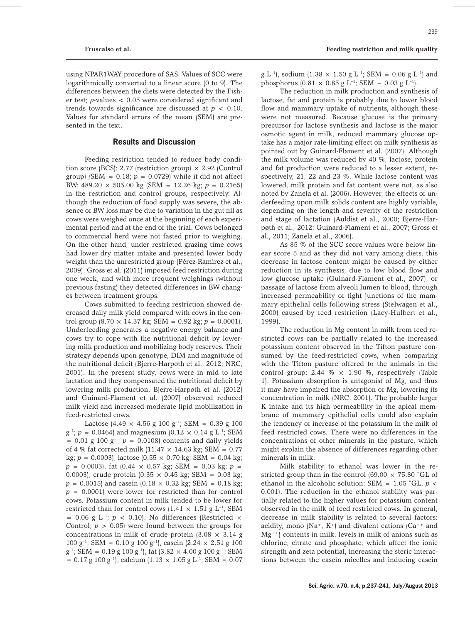using NPAR1WAY procedure of SAS. Values of SCC were logarithmically converted to a linear score (0 to 9). The differences between the diets were detected by the Fisher test; *p*-values < 0.05 were considered significant and trends towards significance are discussed at  $p < 0.10$ . Values for standard errors of the mean (SEM) are presented in the text.

### **Results and Discussion**

Feeding restriction tended to reduce body condition score (BCS): 2.77 (restriction group)  $\times$  2.92 (Control group) *(SEM = 0.18;*  $p = 0.0729$ *)* while it did not affect BW:  $489.20 \times 505.00$  kg (SEM = 12.26 kg;  $p = 0.2165$ ) in the restriction and control groups, respectively. Although the reduction of food supply was severe, the absence of BW loss may be due to variation in the gut fill as cows were weighed once at the beginning of each experimental period and at the end of the trial. Cows belonged to commercial herd were not fasted prior to weighing. On the other hand, under restricted grazing time cows had lower dry matter intake and presented lower body weight than the unrestricted group (Pérez-Ramirez et al., 2009). Gross et al. (2011) imposed feed restriction during one week, and with more frequent weighings (without previous fasting) they detected differences in BW changes between treatment groups.

Cows submitted to feeding restriction showed decreased daily milk yield compared with cows in the control group  $(8.70 \times 14.37 \text{ kg})$ ; SEM = 0.92 kg;  $p = 0.0001$ ). Underfeeding generates a negative energy balance and cows try to cope with the nutritional deficit by lowering milk production and mobilizing body reserves. Their strategy depends upon genotype, DIM and magnitude of the nutritional deficit (Bjerre-Harpøth et al., 2012; NRC, 2001). In the present study, cows were in mid to late lactation and they compensated the nutritional deficit by lowering milk production. Bjerre-Harpøth et al. (2012) and Guinard-Flament et al. (2007) observed reduced milk yield and increased moderate lipid mobilization in feed-restricted cows.

Lactose (4.49  $\times$  4.56 g 100 g<sup>-1</sup>; SEM = 0.39 g 100  $g^{-1}$ ;  $p = 0.0464$ ) and magnesium (0.12  $\times$  0.14 g L<sup>-1</sup>; SEM  $= 0.01$  g 100 g<sup>-1</sup>;  $p = 0.0108$  contents and daily yields of 4 % fat corrected milk  $(11.47 \times 14.63 \text{ kg})$ ; SEM = 0.77 kg;  $p = 0.0003$ , lactose  $(0.55 \times 0.70 \text{ kg})$ ; SEM = 0.04 kg;  $p = 0.0003$ , fat  $(0.44 \times 0.57 \text{ kg})$ ; SEM = 0.03 kg;  $p =$ 0.0003), crude protein  $(0.35 \times 0.45 \text{ kg})$ ; SEM = 0.03 kg;  $p = 0.0015$  and casein  $(0.18 \times 0.32 \text{ kg})$ ; SEM = 0.18 kg; *p* = 0.0001) were lower for restricted than for control cows. Potassium content in milk tended to be lower for restricted than for control cows  $(1.41 \times 1.51 \text{ g L}^{-1})$ , SEM = 0.06 g  $L^{-1}$ ;  $p \lt 0.10$ . No differences (Restricted  $\times$ Control;  $p > 0.05$  were found between the groups for concentrations in milk of crude protein  $(3.08 \times 3.14 g)$ 100 g<sup>-1</sup>; SEM = 0.10 g 100 g<sup>-1</sup>), casein (2.24  $\times$  2.51 g 100  $g^{-1}$ ; SEM = 0.19 g 100 g<sup>-1</sup>), fat (3.82  $\times$  4.00 g 100 g<sup>-1</sup>; SEM  $= 0.17$  g 100 g<sup>-1</sup>), calcium (1.13  $\times$  1.05 g L<sup>-1</sup>; SEM  $= 0.07$  g L<sup>-1</sup>, sodium (1.38  $\times$  1.50 g L<sup>-1</sup>; SEM = 0.06 g L<sup>-1</sup>) and phosphorus  $(0.81 \times 0.85 \text{ g L}^{-1})$ ; SEM = 0.03 g L<sup>-1</sup>).

The reduction in milk production and synthesis of lactose, fat and protein is probably due to lower blood flow and mammary uptake of nutrients, although these were not measured. Because glucose is the primary precursor for lactose synthesis and lactose is the major osmotic agent in milk, reduced mammary glucose uptake has a major rate-limiting effect on milk synthesis as pointed out by Guinard-Flament et al. (2007). Although the milk volume was reduced by 40 %, lactose, protein and fat production were reduced to a lesser extent, respectively, 21, 22 and 23 %. While lactose content was lowered, milk protein and fat content were not, as also noted by Zanela et al. (2006). However, the effects of underfeeding upon milk solids content are highly variable, depending on the length and severity of the restriction and stage of lactation (Auldist et al., 2000; Bjerre-Harpøth et al., 2012; Guinard-Flament et al., 2007; Gross et al., 2011; Zanela et al., 2006).

As 85 % of the SCC score values were below linear score 5 and as they did not vary among diets, this decrease in lactose content might be caused by either reduction in its synthesis, due to low blood flow and low glucose uptake (Guinard-Flament et al., 2007), or passage of lactose from alveoli lumen to blood, through increased permeability of tight junctions of the mammary epithelial cells following stress (Stelwagen et al., 2000) caused by feed restriction (Lacy-Hulbert et al., 1999).

The reduction in Mg content in milk from feed restricted cows can be partially related to the increased potassium content observed in the Tifton pasture consumed by the feed-restricted cows, when comparing with the Tifton pasture offered to the animals in the control group: 2.44  $% \times 1.90$  %, respectively (Table 1). Potassium absorption is antagonist of Mg, and thus it may have impaired the absorption of Mg, lowering its concentration in milk (NRC, 2001). The probable larger K intake and its high permeability in the apical membrane of mammary epithelial cells could also explain the tendency of increase of the potassium in the milk of feed restricted cows. There were no differences in the concentrations of other minerals in the pasture, which might explain the absence of differences regarding other minerals in milk.

Milk stability to ethanol was lower in the restricted group than in the control  $(69.00 \times 75.80 \degree \text{GL of}$ ethanol in the alcoholic solution; SEM = 1.05 ˚GL, *p <*  0.001). The reduction in the ethanol stability was partially related to the higher values for potassium content observed in the milk of feed restricted cows. In general, decrease in milk stability is related to several factors: acidity, mono (Na<sup>+</sup>, K<sup>+</sup>) and divalent cations (Ca<sup>++</sup> and  $Mg^{++}$ ) contents in milk, levels in milk of anions such as chlorine, citrate and phosphate, which affect the ionic strength and zeta potential, increasing the steric interactions between the casein micelles and inducing casein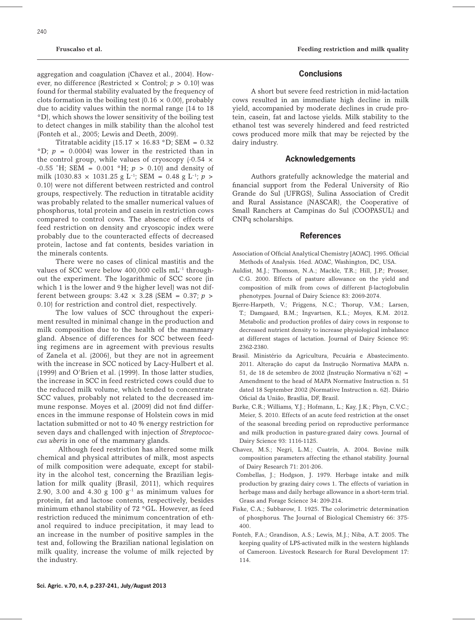aggregation and coagulation (Chavez et al., 2004). However, no difference (Restricted  $\times$  Control;  $p > 0.10$ ) was found for thermal stability evaluated by the frequency of clots formation in the boiling test  $(0.16 \times 0.00)$ , probably due to acidity values within the normal range (14 to 18 °D), which shows the lower sensitivity of the boiling test to detect changes in milk stability than the alcohol test (Fonteh et al., 2005; Lewis and Deeth, 2009).

Titratable acidity (15.17  $\times$  16.83 °D; SEM = 0.32  ${}^{\circ}D$ ;  $p = 0.0004$  was lower in the restricted than in the control group, while values of cryoscopy  $(-0.54 \times$ -0.55 ˚H; SEM = 0.001 °H; *p* > 0.10) and density of milk (1030.83  $\times$  1031.25 g L<sup>-1</sup>; SEM = 0.48 g L<sup>-1</sup>; *p* > 0.10) were not different between restricted and control groups, respectively. The reduction in titratable acidity was probably related to the smaller numerical values of phosphorus, total protein and casein in restriction cows compared to control cows. The absence of effects of feed restriction on density and cryoscopic index were probably due to the counteracted effects of decreased protein, lactose and fat contents, besides variation in the minerals contents.

There were no cases of clinical mastitis and the values of SCC were below 400,000 cells mL<sup>-1</sup> throughout the experiment. The logarithmic of SCC score (in which 1 is the lower and 9 the higher level) was not different between groups: 3.42 × 3.28 (SEM = 0.37; *p* > 0.10) for restriction and control diet, respectively.

The low values of SCC throughout the experiment resulted in minimal change in the production and milk composition due to the health of the mammary gland. Absence of differences for SCC between feeding regimens are in agreement with previous results of Zanela et al. (2006), but they are not in agreement with the increase in SCC noticed by Lacy-Hulbert et al. (1999) and O'Brien et al. (1999). In those latter studies, the increase in SCC in feed restricted cows could due to the reduced milk volume, which tended to concentrate SCC values, probably not related to the decreased immune response. Moyes et al. (2009) did not find differences in the immune response of Holstein cows in mid lactation submitted or not to 40 % energy restriction for seven days and challenged with injection of *Streptococcus uberis* in one of the mammary glands.

Although feed restriction has altered some milk chemical and physical attributes of milk, most aspects of milk composition were adequate, except for stability in the alcohol test, concerning the Brazilian legislation for milk quality (Brasil, 2011), which requires 2.90, 3.00 and 4.30 g 100  $g^{-1}$  as minimum values for protein, fat and lactose contents, respectively, besides minimum ethanol stability of 72 °GL. However, as feed restriction reduced the minimum concentration of ethanol required to induce precipitation, it may lead to an increase in the number of positive samples in the test and, following the Brazilian national legislation on milk quality, increase the volume of milk rejected by the industry.

#### **Conclusions**

A short but severe feed restriction in mid-lactation cows resulted in an immediate high decline in milk yield, accompanied by moderate declines in crude protein, casein, fat and lactose yields. Milk stability to the ethanol test was severely hindered and feed restricted cows produced more milk that may be rejected by the dairy industry.

#### **Acknowledgements**

Authors gratefully acknowledge the material and financial support from the Federal University of Rio Grande do Sul (UFRGS), Sulina Association of Credit and Rural Assistance (NASCAR), the Cooperative of Small Ranchers at Campinas do Sul (COOPASUL) and CNPq scholarships.

#### **References**

- Association of Official Analytical Chemistry [AOAC]. 1995. Official Methods of Analysis. 16ed. AOAC, Washington, DC, USA.
- Auldist, M.J.; Thomson, N.A.; Mackle, T.R.; Hill, J.P.; Prosser, C.G. 2000. Effects of pasture allowance on the yield and composition of milk from cows of different β-lactoglobulin phenotypes. Journal of Dairy Science 83: 2069-2074.
- Bjerre-Harpøth, V.; Friggens, N.C.; Thorup, V.M.; Larsen, T.; Damgaard, B.M.; Ingvartsen, K.L.; Moyes, K.M. 2012. Metabolic and production profiles of dairy cows in response to decreased nutrient density to increase physiological imbalance at different stages of lactation. Journal of Dairy Science 95: 2362-2380.
- Brasil. Ministério da Agricultura, Pecuária e Abastecimento. 2011. Alteração do caput da Instrução Normativa MAPA n. 51, de 18 de setembro de 2002 (Instrução Normativa n˚62) = Amendment to the head of MAPA Normative Instruction n. 51 dated 18 September 2002 (Normative Instruction n. 62). Diário Oficial da União, Brasília, DF, Brazil.
- Burke, C.R.; Williams, Y.J.; Hofmann, L.; Kay, J.K.; Phyn, C.V.C.; Meier, S. 2010. Effects of an acute feed restriction at the onset of the seasonal breeding period on reproductive performance and milk production in pasture-grazed dairy cows. Journal of Dairy Science 93: 1116-1125.
- Chavez, M.S.; Negri, L.M.; Cuatrín, A. 2004. Bovine milk composition parameters affecting the ethanol stability. Journal of Dairy Research 71: 201-206.
- Combellas, J.; Hodgson, J. 1979. Herbage intake and milk production by grazing dairy cows 1. The effects of variation in herbage mass and daily herbage allowance in a short-term trial. Grass and Forage Science 34: 209-214.
- Fiske, C.A.; Subbarow, I. 1925. The colorimetric determination of phosphorus*.* The Journal of Biological Chemistry 66: 375- 400.
- Fonteh, F.A.; Grandison, A.S.; Lewis, M.J.; Niba, A.T. 2005. The keeping quality of LPS-activated milk in the western highlands of Cameroon. Livestock Research for Rural Development 17: 114.